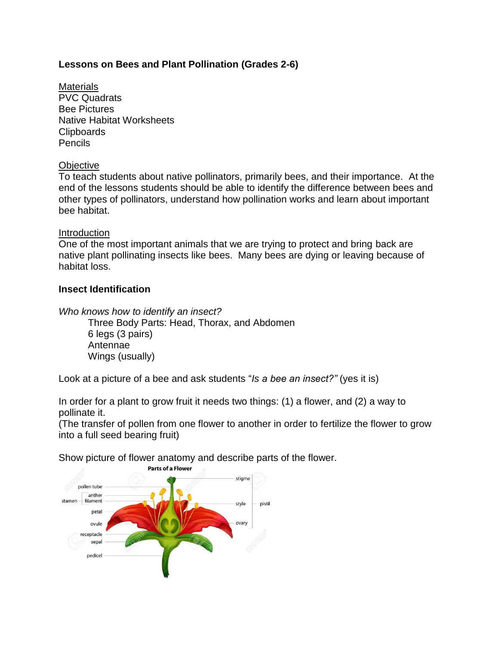# **Lessons on Bees and Plant Pollination (Grades 2-6)**

**Materials** PVC Quadrats Bee Pictures Native Habitat Worksheets Clipboards Pencils

## **Objective**

To teach students about native pollinators, primarily bees, and their importance. At the end of the lessons students should be able to identify the difference between bees and other types of pollinators, understand how pollination works and learn about important bee habitat.

### Introduction

One of the most important animals that we are trying to protect and bring back are native plant pollinating insects like bees. Many bees are dying or leaving because of habitat loss.

## **Insect Identification**

*Who knows how to identify an insect?*

Three Body Parts: Head, Thorax, and Abdomen 6 legs (3 pairs) Antennae Wings (usually)

Look at a picture of a bee and ask students "*Is a bee an insect?"* (yes it is)

In order for a plant to grow fruit it needs two things: (1) a flower, and (2) a way to pollinate it.

(The transfer of pollen from one flower to another in order to fertilize the flower to grow into a full seed bearing fruit)

Show picture of flower anatomy and describe parts of the flower.

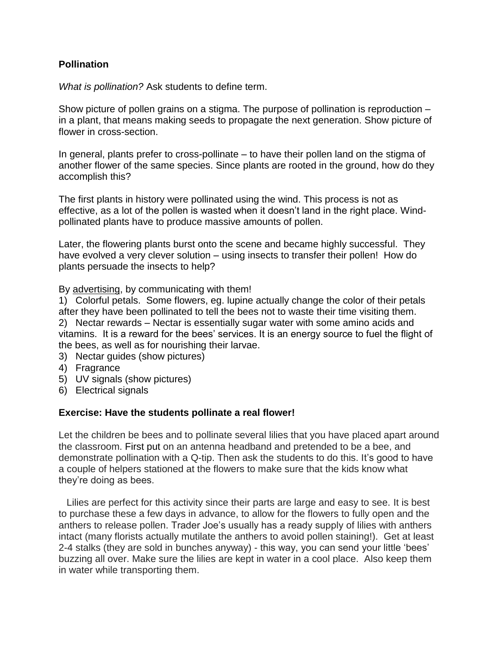# **Pollination**

*What is pollination?* Ask students to define term.

Show picture of pollen grains on a stigma. The purpose of pollination is reproduction  $$ in a plant, that means making seeds to propagate the next generation. Show picture of flower in cross-section.

In general, plants prefer to cross-pollinate – to have their pollen land on the stigma of another flower of the same species. Since plants are rooted in the ground, how do they accomplish this?

The first plants in history were pollinated using the wind. This process is not as effective, as a lot of the pollen is wasted when it doesn't land in the right place. Windpollinated plants have to produce massive amounts of pollen.

Later, the flowering plants burst onto the scene and became highly successful. They have evolved a very clever solution – using insects to transfer their pollen! How do plants persuade the insects to help?

By advertising, by communicating with them!

1) Colorful petals. Some flowers, eg. lupine actually change the color of their petals after they have been pollinated to tell the bees not to waste their time visiting them. 2) Nectar rewards – Nectar is essentially sugar water with some amino acids and vitamins. It is a reward for the bees' services. It is an energy source to fuel the flight of the bees, as well as for nourishing their larvae.

- 3) Nectar guides (show pictures)
- 4) Fragrance
- 5) UV signals (show pictures)
- 6) Electrical signals

### **Exercise: Have the students pollinate a real flower!**

Let the children be bees and to pollinate several lilies that you have placed apart around the classroom. First put on an antenna headband and pretended to be a bee, and demonstrate pollination with a Q-tip. Then ask the students to do this. It's good to have a couple of helpers stationed at the flowers to make sure that the kids know what they're doing as bees.

Lilies are perfect for this activity since their parts are large and easy to see. It is best to purchase these a few days in advance, to allow for the flowers to fully open and the anthers to release pollen. Trader Joe's usually has a ready supply of lilies with anthers intact (many florists actually mutilate the anthers to avoid pollen staining!). Get at least 2-4 stalks (they are sold in bunches anyway) - this way, you can send your little 'bees' buzzing all over. Make sure the lilies are kept in water in a cool place. Also keep them in water while transporting them.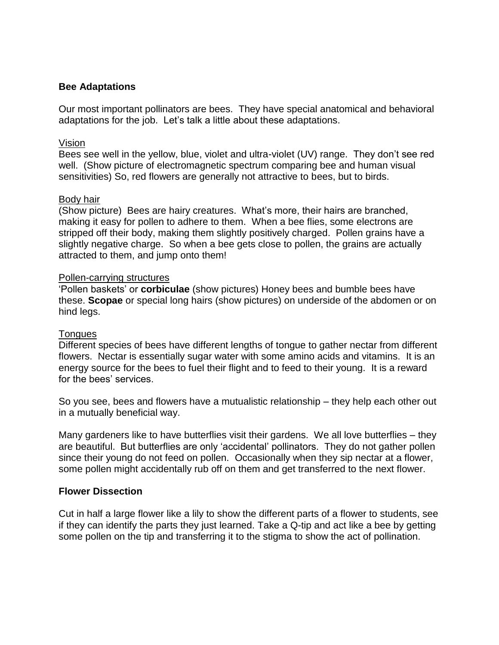# **Bee Adaptations**

Our most important pollinators are bees. They have special anatomical and behavioral adaptations for the job. Let's talk a little about these adaptations.

## Vision

Bees see well in the yellow, blue, violet and ultra-violet (UV) range. They don't see red well. (Show picture of electromagnetic spectrum comparing bee and human visual sensitivities) So, red flowers are generally not attractive to bees, but to birds.

## Body hair

(Show picture) Bees are hairy creatures. What's more, their hairs are branched, making it easy for pollen to adhere to them. When a bee flies, some electrons are stripped off their body, making them slightly positively charged. Pollen grains have a slightly negative charge. So when a bee gets close to pollen, the grains are actually attracted to them, and jump onto them!

## Pollen-carrying structures

'Pollen baskets' or **corbiculae** (show pictures) Honey bees and bumble bees have these. **Scopae** or special long hairs (show pictures) on underside of the abdomen or on hind legs.

### **Tongues**

Different species of bees have different lengths of tongue to gather nectar from different flowers. Nectar is essentially sugar water with some amino acids and vitamins. It is an energy source for the bees to fuel their flight and to feed to their young. It is a reward for the bees' services.

So you see, bees and flowers have a mutualistic relationship – they help each other out in a mutually beneficial way.

Many gardeners like to have butterflies visit their gardens. We all love butterflies – they are beautiful. But butterflies are only 'accidental' pollinators. They do not gather pollen since their young do not feed on pollen. Occasionally when they sip nectar at a flower, some pollen might accidentally rub off on them and get transferred to the next flower.

### **Flower Dissection**

Cut in half a large flower like a lily to show the different parts of a flower to students, see if they can identify the parts they just learned. Take a Q-tip and act like a bee by getting some pollen on the tip and transferring it to the stigma to show the act of pollination.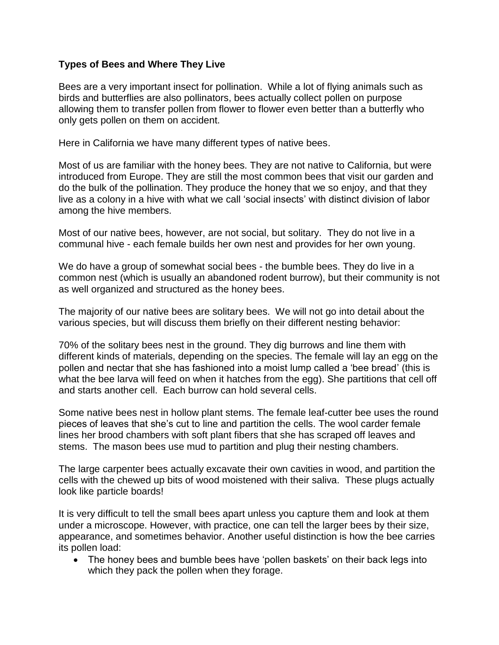# **Types of Bees and Where They Live**

Bees are a very important insect for pollination. While a lot of flying animals such as birds and butterflies are also pollinators, bees actually collect pollen on purpose allowing them to transfer pollen from flower to flower even better than a butterfly who only gets pollen on them on accident.

Here in California we have many different types of native bees.

Most of us are familiar with the honey bees. They are not native to California, but were introduced from Europe. They are still the most common bees that visit our garden and do the bulk of the pollination. They produce the honey that we so enjoy, and that they live as a colony in a hive with what we call 'social insects' with distinct division of labor among the hive members.

Most of our native bees, however, are not social, but solitary. They do not live in a communal hive - each female builds her own nest and provides for her own young.

We do have a group of somewhat social bees - the bumble bees. They do live in a common nest (which is usually an abandoned rodent burrow), but their community is not as well organized and structured as the honey bees.

The majority of our native bees are solitary bees. We will not go into detail about the various species, but will discuss them briefly on their different nesting behavior:

70% of the solitary bees nest in the ground. They dig burrows and line them with different kinds of materials, depending on the species. The female will lay an egg on the pollen and nectar that she has fashioned into a moist lump called a 'bee bread' (this is what the bee larva will feed on when it hatches from the egg). She partitions that cell off and starts another cell. Each burrow can hold several cells.

Some native bees nest in hollow plant stems. The female leaf-cutter bee uses the round pieces of leaves that she's cut to line and partition the cells. The wool carder female lines her brood chambers with soft plant fibers that she has scraped off leaves and stems. The mason bees use mud to partition and plug their nesting chambers.

The large carpenter bees actually excavate their own cavities in wood, and partition the cells with the chewed up bits of wood moistened with their saliva. These plugs actually look like particle boards!

It is very difficult to tell the small bees apart unless you capture them and look at them under a microscope. However, with practice, one can tell the larger bees by their size, appearance, and sometimes behavior. Another useful distinction is how the bee carries its pollen load:

 The honey bees and bumble bees have 'pollen baskets' on their back legs into which they pack the pollen when they forage.